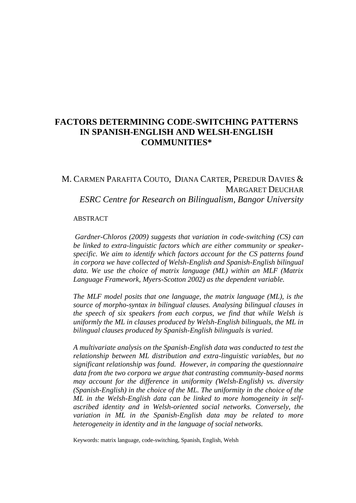## **FACTORS DETERMINING CODE-SWITCHING PATTERNS IN SPANISH-ENGLISH AND WELSH-ENGLISH COMMUNITIES\***

# M. CARMEN PARAFITA COUTO, DIANA CARTER, PEREDUR DAVIES & MARGARET DEUCHAR *ESRC Centre for Research on Bilingualism, Bangor University*

#### ABSTRACT

*Gardner-Chloros (2009) suggests that variation in code-switching (CS) can be linked to extra-linguistic factors which are either community or speakerspecific. We aim to identify which factors account for the CS patterns found in corpora we have collected of Welsh-English and Spanish-English bilingual data. We use the choice of matrix language (ML) within an MLF (Matrix Language Framework, Myers-Scotton 2002) as the dependent variable.*

*The MLF model posits that one language, the matrix language (ML), is the source of morpho-syntax in bilingual clauses. Analysing bilingual clauses in the speech of six speakers from each corpus, we find that while Welsh is uniformly the ML in clauses produced by Welsh-English bilinguals, the ML in bilingual clauses produced by Spanish-English bilinguals is varied.*

*A multivariate analysis on the Spanish-English data was conducted to test the relationship between ML distribution and extra-linguistic variables, but no significant relationship was found. However, in comparing the questionnaire data from the two corpora we argue that contrasting community-based norms may account for the difference in uniformity (Welsh-English) vs. diversity (Spanish-English) in the choice of the ML. The uniformity in the choice of the ML in the Welsh-English data can be linked to more homogeneity in selfascribed identity and in Welsh-oriented social networks. Conversely, the variation in ML in the Spanish-English data may be related to more heterogeneity in identity and in the language of social networks.*

Keywords: matrix language, code-switching, Spanish, English, Welsh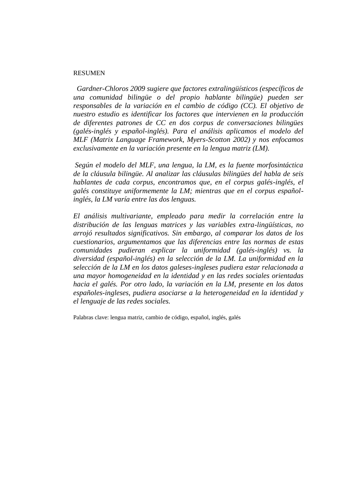#### RESUMEN

*Gardner-Chloros 2009 sugiere que factores extralingüísticos (específicos de una comunidad bilingüe o del propio hablante bilingüe) pueden ser responsables de la variación en el cambio de código (CC). El objetivo de nuestro estudio es identificar los factores que intervienen en la producción de diferentes patrones de CC en dos corpus de conversaciones bilingües (galés-inglés y español-inglés). Para el análisis aplicamos el modelo del MLF (Matrix Language Framework, Myers-Scotton 2002) y nos enfocamos exclusivamente en la variación presente en la lengua matriz (LM).* 

*Según el modelo del MLF, una lengua, la LM, es la fuente morfosintáctica de la cláusula bilingüe. Al analizar las cláusulas bilingües del habla de seis hablantes de cada corpus, encontramos que, en el corpus galés-inglés, el galés constituye uniformemente la LM; mientras que en el corpus españolinglés, la LM varía entre las dos lenguas.* 

*El análisis multivariante, empleado para medir la correlación entre la distribución de las lenguas matrices y las variables extra-lingüísticas, no arrojó resultados significativos. Sin embargo, al comparar los datos de los cuestionarios, argumentamos que las diferencias entre las normas de estas comunidades pudieran explicar la uniformidad (galés-inglés) vs. la diversidad (español-inglés) en la selección de la LM. La uniformidad en la selección de la LM en los datos galeses-ingleses pudiera estar relacionada a una mayor homogeneidad en la identidad y en las redes sociales orientadas hacia el galés. Por otro lado, la variación en la LM, presente en los datos españoles-ingleses, pudiera asociarse a la heterogeneidad en la identidad y el lenguaje de las redes sociales.* 

Palabras clave: lengua matriz, cambio de código, español, inglés, galés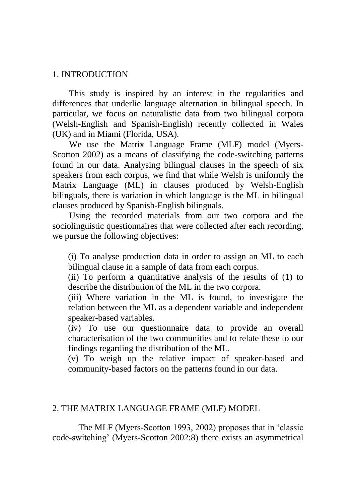#### 1. INTRODUCTION

This study is inspired by an interest in the regularities and differences that underlie language alternation in bilingual speech. In particular, we focus on naturalistic data from two bilingual corpora (Welsh-English and Spanish-English) recently collected in Wales (UK) and in Miami (Florida, USA).

We use the Matrix Language Frame (MLF) model (Myers-Scotton 2002) as a means of classifying the code-switching patterns found in our data. Analysing bilingual clauses in the speech of six speakers from each corpus, we find that while Welsh is uniformly the Matrix Language (ML) in clauses produced by Welsh-English bilinguals, there is variation in which language is the ML in bilingual clauses produced by Spanish-English bilinguals.

Using the recorded materials from our two corpora and the sociolinguistic questionnaires that were collected after each recording, we pursue the following objectives:

(i) To analyse production data in order to assign an ML to each bilingual clause in a sample of data from each corpus.

(ii) To perform a quantitative analysis of the results of (1) to describe the distribution of the ML in the two corpora.

(iii) Where variation in the ML is found, to investigate the relation between the ML as a dependent variable and independent speaker-based variables.

(iv) To use our questionnaire data to provide an overall characterisation of the two communities and to relate these to our findings regarding the distribution of the ML.

(v) To weigh up the relative impact of speaker-based and community-based factors on the patterns found in our data.

## 2. THE MATRIX LANGUAGE FRAME (MLF) MODEL

The MLF (Myers-Scotton 1993, 2002) proposes that in "classic code-switching" (Myers-Scotton 2002:8) there exists an asymmetrical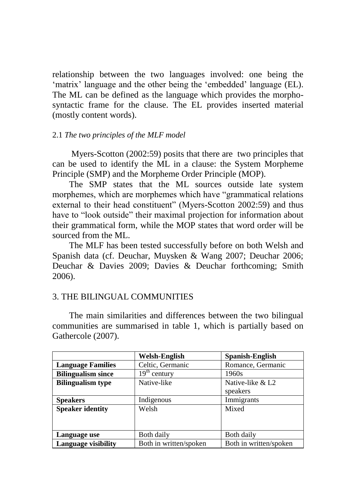relationship between the two languages involved: one being the 'matrix' language and the other being the 'embedded' language (EL). The ML can be defined as the language which provides the morphosyntactic frame for the clause. The EL provides inserted material (mostly content words).

#### 2.1 *The two principles of the MLF model*

Myers-Scotton (2002:59) posits that there are two principles that can be used to identify the ML in a clause: the System Morpheme Principle (SMP) and the Morpheme Order Principle (MOP).

The SMP states that the ML sources outside late system morphemes, which are morphemes which have "grammatical relations external to their head constituent" (Myers-Scotton 2002:59) and thus have to "look outside" their maximal projection for information about their grammatical form, while the MOP states that word order will be sourced from the ML.

The MLF has been tested successfully before on both Welsh and Spanish data (cf. Deuchar, Muysken & Wang 2007; Deuchar 2006; Deuchar & Davies 2009; Davies & Deuchar forthcoming; Smith 2006).

### 3. THE BILINGUAL COMMUNITIES

The main similarities and differences between the two bilingual communities are summarised in table 1, which is partially based on Gathercole (2007).

|                           | <b>Welsh-English</b>   | Spanish-English              |
|---------------------------|------------------------|------------------------------|
| <b>Language Families</b>  | Celtic, Germanic       | Romance, Germanic            |
| <b>Bilingualism since</b> | $19th$ century         | 1960s                        |
| <b>Bilingualism type</b>  | Native-like            | Native-like & L <sub>2</sub> |
|                           |                        | speakers                     |
| <b>Speakers</b>           | Indigenous             | Immigrants                   |
| <b>Speaker identity</b>   | Mixed<br>Welsh         |                              |
|                           |                        |                              |
|                           |                        |                              |
| Language use              | Both daily             | Both daily                   |
| Language visibility       | Both in written/spoken | Both in written/spoken       |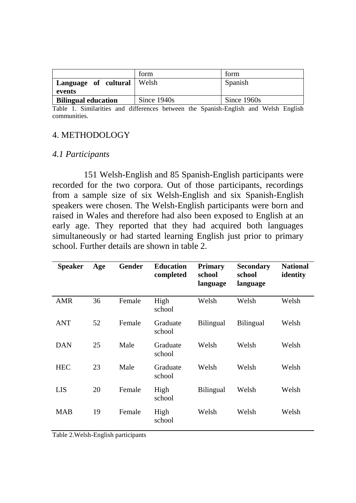|                                        | form        | form        |
|----------------------------------------|-------------|-------------|
| Language of cultural   Welsh<br>events |             | Spanish     |
| <b>Bilingual education</b>             | Since 1940s | Since 1960s |

Table 1. Similarities and differences between the Spanish-English and Welsh English communities.

## 4. METHODOLOGY

### *4.1 Participants*

151 Welsh-English and 85 Spanish-English participants were recorded for the two corpora. Out of those participants, recordings from a sample size of six Welsh-English and six Spanish-English speakers were chosen. The Welsh-English participants were born and raised in Wales and therefore had also been exposed to English at an early age. They reported that they had acquired both languages simultaneously or had started learning English just prior to primary school. Further details are shown in table 2.

| <b>Speaker</b> | Age | Gender | <b>Education</b><br>completed | <b>Primary</b><br>school<br>language | <b>Secondary</b><br>school<br>language | <b>National</b><br>identity |
|----------------|-----|--------|-------------------------------|--------------------------------------|----------------------------------------|-----------------------------|
| AMR            | 36  | Female | High<br>school                | Welsh                                | Welsh                                  | Welsh                       |
| ANT            | 52  | Female | Graduate<br>school            | <b>Bilingual</b>                     | <b>Bilingual</b>                       | Welsh                       |
| <b>DAN</b>     | 25  | Male   | Graduate<br>school            | Welsh                                | Welsh                                  | Welsh                       |
| <b>HEC</b>     | 23  | Male   | Graduate<br>school            | Welsh                                | Welsh                                  | Welsh                       |
| LIS            | 20  | Female | High<br>school                | Bilingual                            | Welsh                                  | Welsh                       |
| <b>MAB</b>     | 19  | Female | High<br>school                | Welsh                                | Welsh                                  | Welsh                       |

Table 2.Welsh-English participants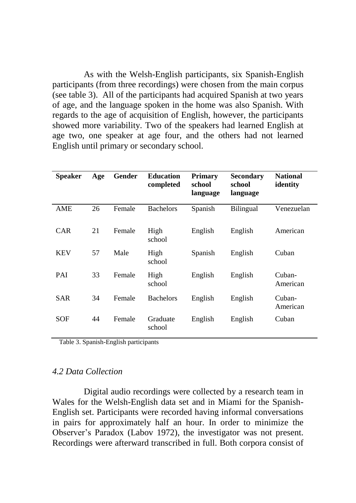As with the Welsh-English participants, six Spanish-English participants (from three recordings) were chosen from the main corpus (see table 3). All of the participants had acquired Spanish at two years of age, and the language spoken in the home was also Spanish. With regards to the age of acquisition of English, however, the participants showed more variability. Two of the speakers had learned English at age two, one speaker at age four, and the others had not learned English until primary or secondary school.

| Speaker    | Age | Gender | <b>Education</b><br>completed | <b>Primary</b><br>school<br>language | Secondary<br>school<br>language | <b>National</b><br>identity |
|------------|-----|--------|-------------------------------|--------------------------------------|---------------------------------|-----------------------------|
| AME        | 26  | Female | <b>Bachelors</b>              | Spanish                              | Bilingual                       | Venezuelan                  |
| CAR        | 21  | Female | High<br>school                | English                              | English                         | American                    |
| <b>KEV</b> | 57  | Male   | High<br>school                | Spanish                              | English                         | Cuban                       |
| PAI        | 33  | Female | High<br>school                | English                              | English                         | Cuban-<br>American          |
| <b>SAR</b> | 34  | Female | <b>Bachelors</b>              | English                              | English                         | Cuban-<br>American          |
| SOF        | 44  | Female | Graduate<br>school            | English                              | English                         | Cuban                       |

Table 3. Spanish-English participants

#### *4.2 Data Collection*

Digital audio recordings were collected by a research team in Wales for the Welsh-English data set and in Miami for the Spanish-English set. Participants were recorded having informal conversations in pairs for approximately half an hour. In order to minimize the Observer"s Paradox (Labov 1972), the investigator was not present. Recordings were afterward transcribed in full. Both corpora consist of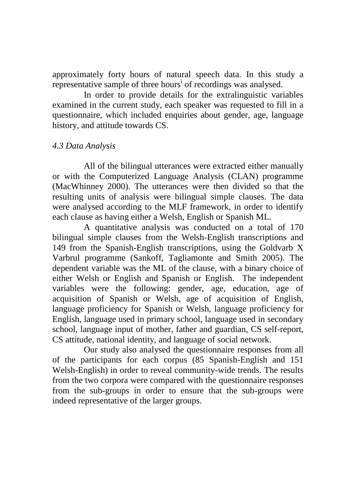approximately forty hours of natural speech data. In this study a representative sample of three hours<sup>i</sup> of recordings was analysed.

In order to provide details for the extralinguistic variables examined in the current study, each speaker was requested to fill in a questionnaire, which included enquiries about gender, age, language history, and attitude towards CS.

## *4.3 Data Analysis*

All of the bilingual utterances were extracted either manually or with the Computerized Language Analysis (CLAN) programme (MacWhinney 2000). The utterances were then divided so that the resulting units of analysis were bilingual simple clauses. The data were analysed according to the MLF framework, in order to identify each clause as having either a Welsh, English or Spanish ML.

A quantitative analysis was conducted on a total of 170 bilingual simple clauses from the Welsh-English transcriptions and 149 from the Spanish-English transcriptions, using the Goldvarb X Varbrul programme (Sankoff, Tagliamonte and Smith 2005). The dependent variable was the ML of the clause, with a binary choice of either Welsh or English and Spanish or English. The independent variables were the following: gender, age, education, age of acquisition of Spanish or Welsh, age of acquisition of English, language proficiency for Spanish or Welsh, language proficiency for English, language used in primary school, language used in secondary school, language input of mother, father and guardian, CS self-report, CS attitude, national identity, and language of social network.

Our study also analysed the questionnaire responses from all of the participants for each corpus (85 Spanish-English and 151 Welsh-English) in order to reveal community-wide trends. The results from the two corpora were compared with the questionnaire responses from the sub-groups in order to ensure that the sub-groups were indeed representative of the larger groups.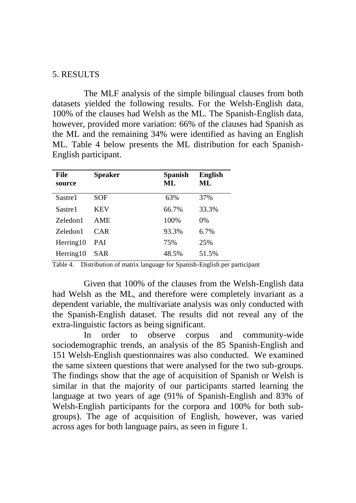## 5. RESULTS

The MLF analysis of the simple bilingual clauses from both datasets yielded the following results. For the Welsh-English data, 100% of the clauses had Welsh as the ML. The Spanish-English data, however, provided more variation: 66% of the clauses had Spanish as the ML and the remaining 34% were identified as having an English ML. Table 4 below presents the ML distribution for each Spanish-English participant.

| File<br>source | <b>Speaker</b> | <b>Spanish</b><br>ML | <b>English</b><br>ML |
|----------------|----------------|----------------------|----------------------|
| Sastre1        | SOF            | 63%                  | 37%                  |
| Sastre1        | <b>KEV</b>     | 66.7%                | 33.3%                |
| Zeledon1       | <b>AME</b>     | 100%                 | $0\%$                |
| Zeledon1       | CAR            | 93.3%                | 6.7%                 |
| Herring 10     | <b>PAI</b>     | 75%                  | 25%                  |
| Herming 10     | SAR            | 48.5%                | 51.5%                |

Table 4. Distribution of matrix language for Spanish-English per participant

Given that 100% of the clauses from the Welsh-English data had Welsh as the ML, and therefore were completely invariant as a dependent variable, the multivariate analysis was only conducted with the Spanish-English dataset. The results did not reveal any of the extra-linguistic factors as being significant.

In order to observe corpus and community-wide sociodemographic trends, an analysis of the 85 Spanish-English and 151 Welsh-English questionnaires was also conducted. We examined the same sixteen questions that were analysed for the two sub-groups. The findings show that the age of acquisition of Spanish or Welsh is similar in that the majority of our participants started learning the language at two years of age (91% of Spanish-English and 83% of Welsh-English participants for the corpora and 100% for both subgroups). The age of acquisition of English, however, was varied across ages for both language pairs, as seen in figure 1.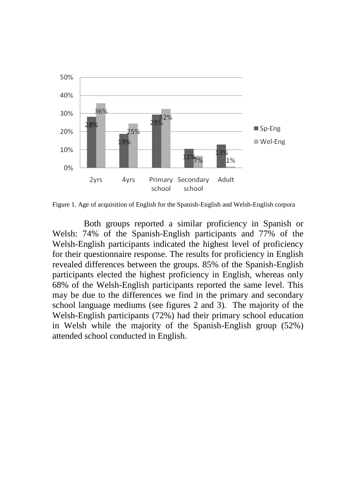

Figure 1. Age of acquisition of English for the Spanish-English and Welsh-English corpora

Both groups reported a similar proficiency in Spanish or Welsh: 74% of the Spanish-English participants and 77% of the Welsh-English participants indicated the highest level of proficiency for their questionnaire response. The results for proficiency in English revealed differences between the groups. 85% of the Spanish-English participants elected the highest proficiency in English, whereas only 68% of the Welsh-English participants reported the same level. This may be due to the differences we find in the primary and secondary school language mediums (see figures 2 and 3). The majority of the Welsh-English participants (72%) had their primary school education in Welsh while the majority of the Spanish-English group (52%) attended school conducted in English.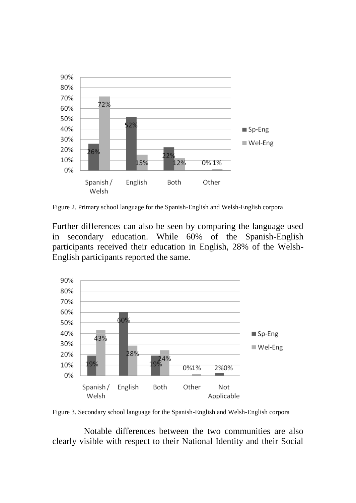

Figure 2. Primary school language for the Spanish-English and Welsh-English corpora

Further differences can also be seen by comparing the language used in secondary education. While 60% of the Spanish-English participants received their education in English, 28% of the Welsh-English participants reported the same.



Figure 3. Secondary school language for the Spanish-English and Welsh-English corpora

Notable differences between the two communities are also clearly visible with respect to their National Identity and their Social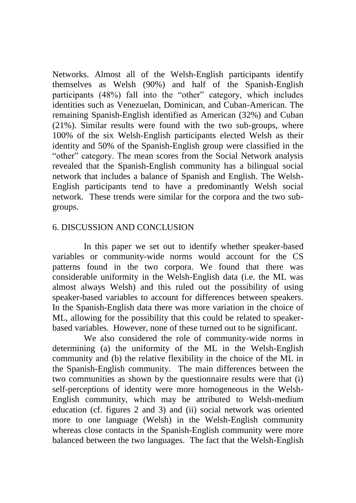Networks. Almost all of the Welsh-English participants identify themselves as Welsh (90%) and half of the Spanish-English participants (48%) fall into the "other" category, which includes identities such as Venezuelan, Dominican, and Cuban-American. The remaining Spanish-English identified as American (32%) and Cuban (21%). Similar results were found with the two sub-groups, where 100% of the six Welsh-English participants elected Welsh as their identity and 50% of the Spanish-English group were classified in the "other" category. The mean scores from the Social Network analysis revealed that the Spanish-English community has a bilingual social network that includes a balance of Spanish and English. The Welsh-English participants tend to have a predominantly Welsh social network. These trends were similar for the corpora and the two subgroups.

# 6. DISCUSSION AND CONCLUSION

In this paper we set out to identify whether speaker-based variables or community-wide norms would account for the CS patterns found in the two corpora. We found that there was considerable uniformity in the Welsh-English data (i.e. the ML was almost always Welsh) and this ruled out the possibility of using speaker-based variables to account for differences between speakers. In the Spanish-English data there was more variation in the choice of ML, allowing for the possibility that this could be related to speakerbased variables. However, none of these turned out to be significant.

We also considered the role of community-wide norms in determining (a) the uniformity of the ML in the Welsh-English community and (b) the relative flexibility in the choice of the ML in the Spanish-English community. The main differences between the two communities as shown by the questionnaire results were that (i) self-perceptions of identity were more homogeneous in the Welsh-English community, which may be attributed to Welsh-medium education (cf. figures 2 and 3) and (ii) social network was oriented more to one language (Welsh) in the Welsh-English community whereas close contacts in the Spanish-English community were more balanced between the two languages. The fact that the Welsh-English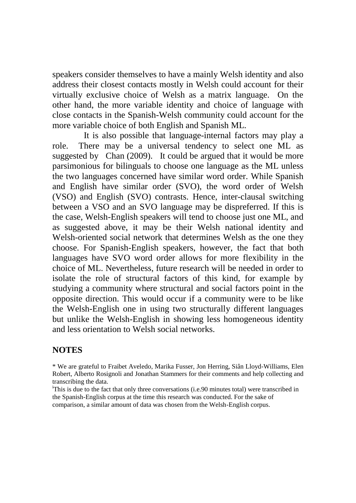speakers consider themselves to have a mainly Welsh identity and also address their closest contacts mostly in Welsh could account for their virtually exclusive choice of Welsh as a matrix language. On the other hand, the more variable identity and choice of language with close contacts in the Spanish-Welsh community could account for the more variable choice of both English and Spanish ML.

It is also possible that language-internal factors may play a role. There may be a universal tendency to select one ML as suggested by Chan (2009). It could be argued that it would be more parsimonious for bilinguals to choose one language as the ML unless the two languages concerned have similar word order. While Spanish and English have similar order (SVO), the word order of Welsh (VSO) and English (SVO) contrasts. Hence, inter-clausal switching between a VSO and an SVO language may be dispreferred. If this is the case, Welsh-English speakers will tend to choose just one ML, and as suggested above, it may be their Welsh national identity and Welsh-oriented social network that determines Welsh as the one they choose. For Spanish-English speakers, however, the fact that both languages have SVO word order allows for more flexibility in the choice of ML. Nevertheless, future research will be needed in order to isolate the role of structural factors of this kind, for example by studying a community where structural and social factors point in the opposite direction. This would occur if a community were to be like the Welsh-English one in using two structurally different languages but unlike the Welsh-English in showing less homogeneous identity and less orientation to Welsh social networks.

# **NOTES**

\* We are grateful to Fraibet Aveledo, Marika Fusser, Jon Herring, Siân Lloyd-Williams, Elen Robert, Alberto Rosignoli and Jonathan Stammers for their comments and help collecting and transcribing the data.

<sup>i</sup>This is due to the fact that only three conversations (i.e.90 minutes total) were transcribed in the Spanish-English corpus at the time this research was conducted. For the sake of comparison, a similar amount of data was chosen from the Welsh-English corpus.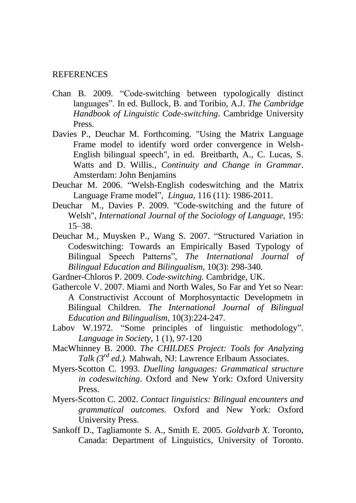#### REFERENCES

- Chan B. 2009. "Code-switching between typologically distinct languages". In ed. Bullock, B. and Toribio, A.J. *The Cambridge Handbook of Linguistic Code-switching*. Cambridge University Press.
- Davies P., Deuchar M. Forthcoming. "Using the Matrix Language Frame model to identify word order convergence in Welsh-English bilingual speech", in ed. Breitbarth, A., C. Lucas, S. Watts and D. Willis*., Continuity and Change in Grammar*. Amsterdam: John Benjamins
- Deuchar M. 2006. "Welsh-English codeswitching and the Matrix Language Frame model", *Lingua,* 116 (11): 1986-2011.
- Deuchar M., Davies P. 2009. "Code-switching and the future of Welsh", *International Journal of the Sociology of Language*, 195: 15–38.
- Deuchar M., Muysken P., Wang S. 2007. "Structured Variation in Codeswitching: Towards an Empirically Based Typology of Bilingual Speech Patterns", *The International Journal of Bilingual Education and Bilingualism*, 10(3): 298-340.
- Gardner-Chloros P. 2009. *Code-switching.* Cambridge, UK.
- Gathercole V. 2007. Miami and North Wales, So Far and Yet so Near: A Constructivist Account of Morphosyntactic Developmetn in Bilingual Children. *The International Journal of Bilingual Education and Bilingualism,* 10(3):224-247.
- Labov W.1972. "Some principles of linguistic methodology". *Language in Society,* 1 (1), 97-120
- MacWhinney B. 2000. *The CHILDES Project: Tools for Analyzing Talk (3rd ed.).* Mahwah, NJ: Lawrence Erlbaum Associates.
- Myers-Scotton C. 1993. *Duelling languages: Grammatical structure in codeswitching*. Oxford and New York: Oxford University Press.
- Myers-Scotton C. 2002. *Contact linguistics: Bilingual encounters and grammatical outcomes.* Oxford and New York: Oxford University Press.
- Sankoff D., Tagliamonte S. A., Smith E. 2005. *Goldvarb X.* Toronto, Canada: Department of Linguistics, University of Toronto.